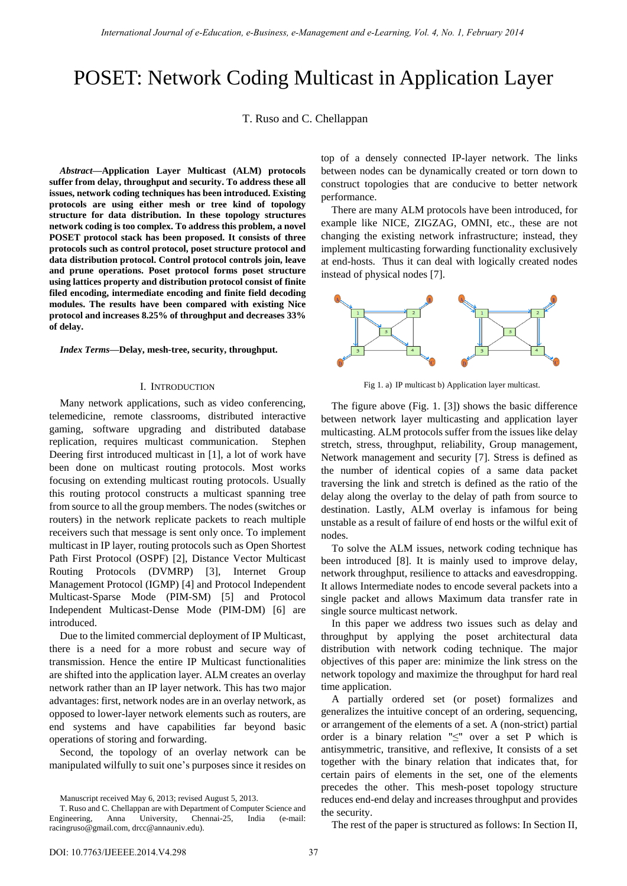# POSET: Network Coding Multicast in Application Layer

T. Ruso and C. Chellappan

*Abstract***—Application Layer Multicast (ALM) protocols suffer from delay, throughput and security. To address these all issues, network coding techniques has been introduced. Existing protocols are using either mesh or tree kind of topology structure for data distribution. In these topology structures network coding is too complex. To address this problem, a novel POSET protocol stack has been proposed. It consists of three protocols such as control protocol, poset structure protocol and data distribution protocol. Control protocol controls join, leave and prune operations. Poset protocol forms poset structure using lattices property and distribution protocol consist of finite filed encoding, intermediate encoding and finite field decoding modules. The results have been compared with existing Nice protocol and increases 8.25% of throughput and decreases 33% of delay.** 

*Index Terms***—Delay, mesh-tree, security, throughput.** 

#### I. INTRODUCTION

Many network applications, such as video conferencing, telemedicine, remote classrooms, distributed interactive gaming, software upgrading and distributed database replication, requires multicast communication. Stephen Deering first introduced multicast in [1], a lot of work have been done on multicast routing protocols. Most works focusing on extending multicast routing protocols. Usually this routing protocol constructs a multicast spanning tree from source to all the group members. The nodes (switches or routers) in the network replicate packets to reach multiple receivers such that message is sent only once. To implement multicast in IP layer, routing protocols such as Open Shortest Path First Protocol (OSPF) [2], Distance Vector Multicast Routing Protocols (DVMRP) [3], Internet Group Management Protocol (IGMP) [4] and Protocol Independent Multicast-Sparse Mode (PIM-SM) [5] and Protocol Independent Multicast-Dense Mode (PIM-DM) [6] are introduced.

Due to the limited commercial deployment of IP Multicast, there is a need for a more robust and secure way of transmission. Hence the entire IP Multicast functionalities are shifted into the application layer. ALM creates an overlay network rather than an IP layer network. This has two major advantages: first, network nodes are in an overlay network, as opposed to lower-layer network elements such as routers, are end systems and have capabilities far beyond basic operations of storing and forwarding.

Second, the topology of an overlay network can be manipulated wilfully to suit one"s purposes since it resides on top of a densely connected IP-layer network. The links between nodes can be dynamically created or torn down to construct topologies that are conducive to better network performance.

There are many ALM protocols have been introduced, for example like NICE, ZIGZAG, OMNI, etc., these are not changing the existing network infrastructure; instead, they implement multicasting forwarding functionality exclusively at end-hosts. Thus it can deal with logically created nodes instead of physical nodes [7].



Fig 1. a) IP multicast b) Application layer multicast.

The figure above (Fig. 1. [3]) shows the basic difference between network layer multicasting and application layer multicasting. ALM protocols suffer from the issues like delay stretch, stress, throughput, reliability, Group management, Network management and security [7]. Stress is defined as the number of identical copies of a same data packet traversing the link and stretch is defined as the ratio of the delay along the overlay to the delay of path from source to destination. Lastly, ALM overlay is infamous for being unstable as a result of failure of end hosts or the wilful exit of nodes.

To solve the ALM issues, network coding technique has been introduced [8]. It is mainly used to improve delay, network throughput, resilience to attacks and eavesdropping. It allows Intermediate nodes to encode several packets into a single packet and allows Maximum data transfer rate in single source multicast network.

In this paper we address two issues such as delay and throughput by applying the poset architectural data distribution with network coding technique. The major objectives of this paper are: minimize the link stress on the network topology and maximize the throughput for hard real time application.

A partially ordered set (or poset) formalizes and generalizes the intuitive concept of an ordering, sequencing, or arrangement of the elements of [a set.](http://en.wikipedia.org/wiki/Set_(mathematics)) A (non-strict) partial order is a [binary relation](http://en.wikipedia.org/wiki/Binary_relation) "≤" over a [set](http://en.wikipedia.org/wiki/Set_(mathematics)) P which is [antisymmetric,](http://en.wikipedia.org/wiki/Antisymmetric_relation) [transitive,](http://en.wikipedia.org/wiki/Transitive_relation) and [reflexive,](http://en.wikipedia.org/wiki/Reflexive_relation) It consists of a set together with the [binary relation](http://en.wikipedia.org/wiki/Relation_(mathematics)) that indicates that, for certain pairs of elements in the set, one of the elements precedes the other. This mesh-poset topology structure reduces end-end delay and increases throughput and provides the security.

The rest of the paper is structured as follows: In Section II,

Manuscript received May 6, 2013; revised August 5, 2013.

T. Ruso and C. Chellappan are with Department of Computer Science and Engineering, Anna University, Chennai-25, India (e-mail: racingruso@gmail.com[, drcc@annauniv.edu\)](mailto:drcc@annauniv.edu).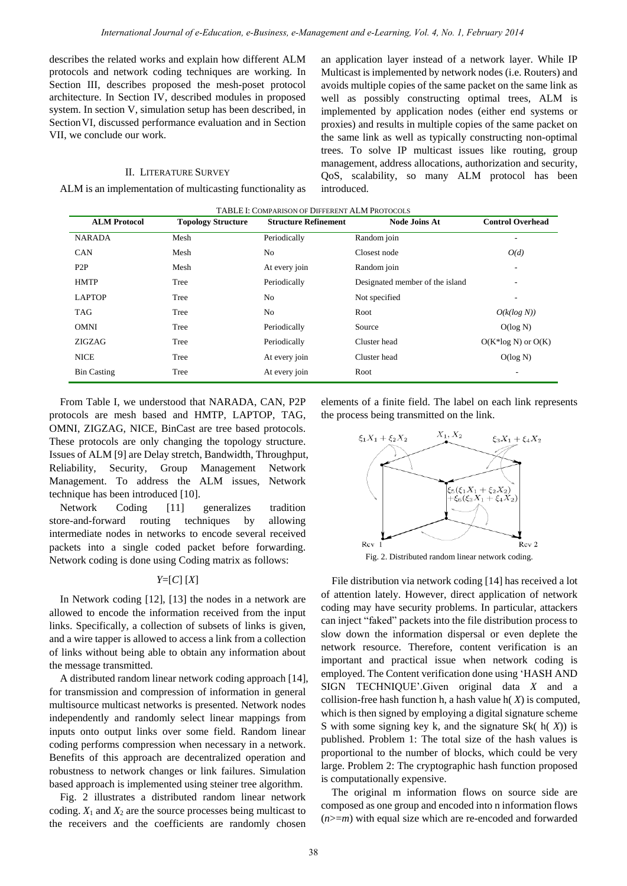describes the related works and explain how different ALM protocols and network coding techniques are working. In Section III, describes proposed the mesh-poset protocol architecture. In Section IV, described modules in proposed system. In section V, simulation setup has been described, in Section VI, discussed performance evaluation and in Section VII, we conclude our work.

# II. LITERATURE SURVEY

ALM is an implementation of multicasting functionality as

an application layer instead of a network layer. While IP Multicast is implemented by network nodes (i.e. Routers) and avoids multiple copies of the same packet on the same link as well as possibly constructing optimal trees, ALM is implemented by application nodes (either end systems or proxies) and results in multiple copies of the same packet on the same link as well as typically constructing non-optimal trees. To solve IP multicast issues like routing, group management, address allocations, authorization and security, QoS, scalability, so many ALM protocol has been introduced.

| TABLE I: COMPARISON OF DIFFERENT ALM PROTOCOLS |                           |                             |                                 |                         |
|------------------------------------------------|---------------------------|-----------------------------|---------------------------------|-------------------------|
| <b>ALM Protocol</b>                            | <b>Topology Structure</b> | <b>Structure Refinement</b> | <b>Node Joins At</b>            | <b>Control Overhead</b> |
| <b>NARADA</b>                                  | Mesh                      | Periodically                | Random join                     |                         |
| <b>CAN</b>                                     | Mesh                      | No                          | Closest node                    | O(d)                    |
| P2P                                            | Mesh                      | At every join               | Random join                     |                         |
| <b>HMTP</b>                                    | Tree                      | Periodically                | Designated member of the island |                         |
| <b>LAPTOP</b>                                  | Tree                      | No.                         | Not specified                   |                         |
| <b>TAG</b>                                     | Tree                      | No                          | Root                            | $O(k(\log N))$          |
| <b>OMNI</b>                                    | Tree                      | Periodically                | Source                          | O(log N)                |
| ZIGZAG                                         | Tree                      | Periodically                | Cluster head                    | $O(K^*log N)$ or $O(K)$ |
| <b>NICE</b>                                    | Tree                      | At every join               | Cluster head                    | O(log N)                |
| <b>Bin Casting</b>                             | Tree                      | At every join               | Root                            | ۰                       |

From Table I, we understood that NARADA, CAN, P2P protocols are mesh based and HMTP, LAPTOP, TAG, OMNI, ZIGZAG, NICE, BinCast are tree based protocols. These protocols are only changing the topology structure. Issues of ALM [9] are Delay stretch, Bandwidth, Throughput, Reliability, Security, Group Management Network Management. To address the ALM issues, Network technique has been introduced [10].

Network Coding [11] generalizes tradition store-and-forward routing techniques by allowing intermediate nodes in networks to encode several received packets into a single coded packet before forwarding. Network coding is done using Coding matrix as follows:

# *Y*=[*C*] [*X*]

In Network coding [12], [13] the nodes in a network are allowed to encode the information received from the input links. Specifically, a collection of subsets of links is given, and a wire tapper is allowed to access a link from a collection of links without being able to obtain any information about the message transmitted.

A distributed random linear network coding approach [14], for transmission and compression of information in general multisource multicast networks is presented. Network nodes independently and randomly select linear mappings from inputs onto output links over some field. Random linear coding performs compression when necessary in a network. Benefits of this approach are decentralized operation and robustness to network changes or link failures. Simulation based approach is implemented using steiner tree algorithm.

Fig. 2 illustrates a distributed random linear network coding.  $X_1$  and  $X_2$  are the source processes being multicast to the receivers and the coefficients are randomly chosen elements of a finite field. The label on each link represents the process being transmitted on the link.





File distribution via network coding [14] has received a lot of attention lately. However, direct application of network coding may have security problems. In particular, attackers can inject "faked" packets into the file distribution process to slow down the information dispersal or even deplete the network resource. Therefore, content verification is an important and practical issue when network coding is employed. The Content verification done using "HASH AND SIGN TECHNIQUE".Given original data *X* and a collision-free hash function h, a hash value h( *X*) is computed, which is then signed by employing a digital signature scheme S with some signing key k, and the signature Sk( h( *X*)) is published. Problem 1: The total size of the hash values is proportional to the number of blocks, which could be very large. Problem 2: The cryptographic hash function proposed is computationally expensive.

The original m information flows on source side are composed as one group and encoded into n information flows (*n*>=*m*) with equal size which are re-encoded and forwarded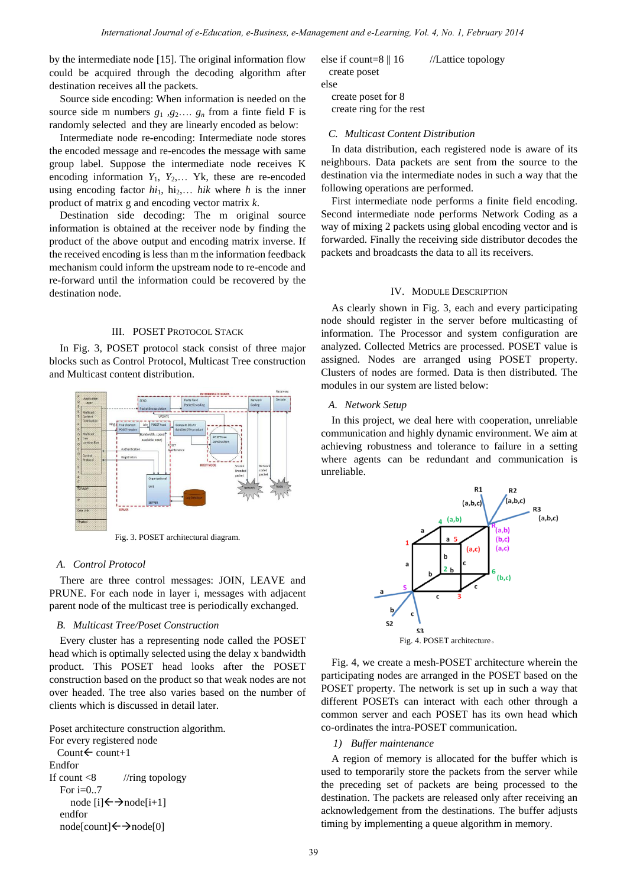by the intermediate node [15]. The original information flow could be acquired through the decoding algorithm after destination receives all the packets.

Source side encoding: When information is needed on the source side m numbers  $g_1$ ,  $g_2$ ,  $g_n$  from a finte field F is randomly selected and they are linearly encoded as below:

Intermediate node re-encoding: Intermediate node stores the encoded message and re-encodes the message with same group label. Suppose the intermediate node receives K encoding information  $Y_1$ ,  $Y_2$ ,... Yk, these are re-encoded using encoding factor  $hi_1$ ,  $hi_2,...$  *hik* where *h* is the inner product of matrix g and encoding vector matrix *k*.

Destination side decoding: The m original source information is obtained at the receiver node by finding the product of the above output and encoding matrix inverse. If the received encoding is less than m the information feedback mechanism could inform the upstream node to re-encode and re-forward until the information could be recovered by the destination node.

## III. POSET PROTOCOL STACK

In Fig. 3, POSET protocol stack consist of three major blocks such as Control Protocol, Multicast Tree construction and Multicast content distribution.



Fig. 3. POSET architectural diagram.

#### *A. Control Protocol*

There are three control messages: JOIN, LEAVE and PRUNE. For each node in layer i, messages with adjacent parent node of the multicast tree is periodically exchanged.

# *B. Multicast Tree/Poset Construction*

Every cluster has a representing node called the POSET head which is optimally selected using the delay x bandwidth product. This POSET head looks after the POSET construction based on the product so that weak nodes are not over headed. The tree also varies based on the number of clients which is discussed in detail later.

Poset architecture construction algorithm. For every registered node Count $\leftarrow$  count+1 Endfor If count  $\langle 8 \rangle$  //ring topology For i=0..7 node  $[i] \leftarrow \rightarrow$ node $[i+1]$  endfor  $node[count] \leftarrow \rightarrow node[0]$ 

| else if count= $8 \parallel 16$ | //Lattice topology |
|---------------------------------|--------------------|
| create poset                    |                    |
| else.                           |                    |

 create poset for 8 create ring for the rest

# *C. Multicast Content Distribution*

In data distribution, each registered node is aware of its neighbours. Data packets are sent from the source to the destination via the intermediate nodes in such a way that the following operations are performed.

First intermediate node performs a finite field encoding. Second intermediate node performs Network Coding as a way of mixing 2 packets using global encoding vector and is forwarded. Finally the receiving side distributor decodes the packets and broadcasts the data to all its receivers.

#### IV. MODULE DESCRIPTION

As clearly shown in Fig. 3, each and every participating node should register in the server before multicasting of information. The Processor and system configuration are analyzed. Collected Metrics are processed. POSET value is assigned. Nodes are arranged using POSET property. Clusters of nodes are formed. Data is then distributed. The modules in our system are listed below:

#### *A. Network Setup*

In this project, we deal here with cooperation, unreliable communication and highly dynamic environment. We aim at achieving robustness and tolerance to failure in a setting where agents can be redundant and communication is unreliable.



Fig. 4, we create a mesh-POSET architecture wherein the participating nodes are arranged in the POSET based on the POSET property. The network is set up in such a way that different POSETs can interact with each other through a common server and each POSET has its own head which co-ordinates the intra-POSET communication.

## *1) Buffer maintenance*

A region of memory is allocated for the buffer which is used to temporarily store the packets from the server while the preceding set of packets are being processed to the destination. The packets are released only after receiving an acknowledgement from the destinations. The buffer adjusts timing by implementing a [queue](http://en.wikipedia.org/wiki/Queue_(data_structure)) algorithm in memory.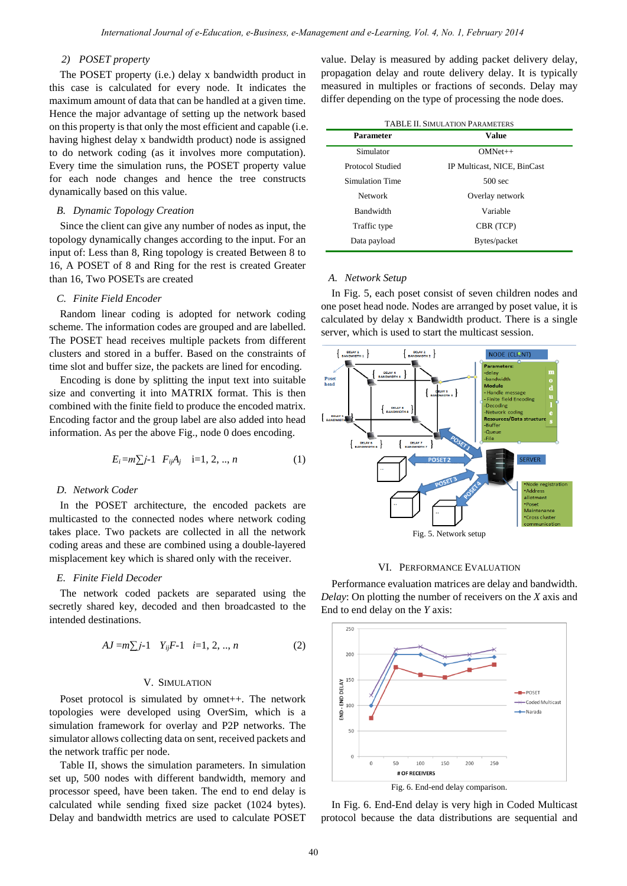# *2) POSET property*

The POSET property (i.e.) delay x bandwidth product in this case is calculated for every node. It indicates the maximum amount of data that can be handled at a given time. Hence the major advantage of setting up the network based on this property is that only the most efficient and capable (i.e. having highest delay x bandwidth product) node is assigned to do network coding (as it involves more computation). Every time the simulation runs, the POSET property value for each node changes and hence the tree constructs dynamically based on this value.

# *B. Dynamic Topology Creation*

Since the client can give any number of nodes as input, the topology dynamically changes according to the input. For an input of: Less than 8, Ring topology is created Between 8 to 16, A POSET of 8 and Ring for the rest is created Greater than 16, Two POSETs are created

## *C. Finite Field Encoder*

Random linear coding is adopted for network coding scheme. The information codes are grouped and are labelled. The POSET head receives multiple packets from different clusters and stored in a buffer. Based on the constraints of time slot and buffer size, the packets are lined for encoding.

Encoding is done by splitting the input text into suitable size and converting it into MATRIX format. This is then combined with the finite field to produce the encoded matrix. Encoding factor and the group label are also added into head information. As per the above Fig., node 0 does encoding.

$$
E_i = m \sum j - 1 \quad F_{ij} A_j \quad i = 1, 2, ..., n \tag{1}
$$

# *D. Network Coder*

In the POSET architecture, the encoded packets are multicasted to the connected nodes where network coding takes place. Two packets are collected in all the network coding areas and these are combined using a double-layered misplacement key which is shared only with the receiver.

#### *E. Finite Field Decoder*

The network coded packets are separated using the secretly shared key, decoded and then broadcasted to the intended destinations.

$$
AJ = m \sum j-1 \quad Y_{ij}F-1 \quad i=1, 2, ..., n \tag{2}
$$

#### V. SIMULATION

Poset protocol is simulated by omnet++. The network topologies were developed using OverSim, which is a simulation framework for overlay and P2P networks. The simulator allows collecting data on sent, received packets and the network traffic per node.

Table II, shows the simulation parameters. In simulation set up, 500 nodes with different bandwidth, memory and processor speed, have been taken. The end to end delay is calculated while sending fixed size packet (1024 bytes). Delay and bandwidth metrics are used to calculate POSET value. Delay is measured by adding packet delivery delay, propagation delay and route delivery delay. It is typically measured in multiples or fractions of seconds. Delay may differ depending on the type of processing the node does.

| <b>TABLE II. SIMULATION PARAMETERS</b> |                             |  |  |  |
|----------------------------------------|-----------------------------|--|--|--|
| <b>Parameter</b>                       | Value                       |  |  |  |
| Simulator                              | $OMNet++$                   |  |  |  |
| Protocol Studied                       | IP Multicast, NICE, BinCast |  |  |  |
| Simulation Time                        | $500 \text{ sec}$           |  |  |  |
| Network                                | Overlay network             |  |  |  |
| Bandwidth                              | Variable                    |  |  |  |
| Traffic type                           | CBR (TCP)                   |  |  |  |
| Data payload                           | Bytes/packet                |  |  |  |

#### *A. Network Setup*

In Fig. 5, each poset consist of seven children nodes and one poset head node. Nodes are arranged by poset value, it is calculated by delay x Bandwidth product. There is a single server, which is used to start the multicast session.



#### VI. PERFORMANCE EVALUATION

Performance evaluation matrices are delay and bandwidth. *Delay*: On plotting the number of receivers on the *X* axis and End to end delay on the *Y* axis:



Fig. 6. End-end delay comparison.

In Fig. 6. End-End delay is very high in Coded Multicast protocol because the data distributions are sequential and